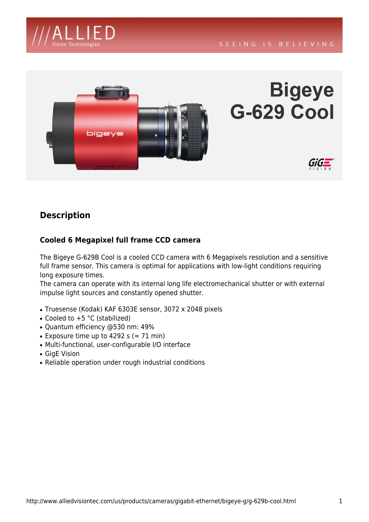



# **Bigeye G-629 Cool**



# **Description**

### **Cooled 6 Megapixel full frame CCD camera**

*The Bigeye G-629B Cool is a cooled CCD camera with 6 Megapixels resolution and a sensitive full frame sensor. This camera is optimal for applications with low-light conditions requiring long exposure times.*

*The camera can operate with its internal long life electromechanical shutter or with external impulse light sources and constantly opened shutter.*

- *Truesense (Kodak) KAF 6303E sensor, 3072 x 2048 pixels*
- *Cooled to +5 °C (stabilized)*
- *Quantum efficiency @530 nm: 49%*
- Exposure time up to 4292 s ( $\approx$  71 min)
- *Multi-functional, user-configurable I/O interface*
- *GigE Vision*
- *Reliable operation under rough industrial conditions*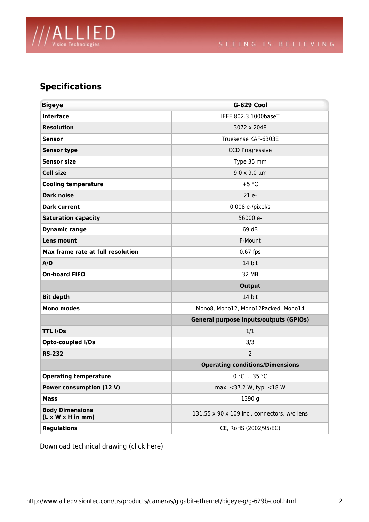

# **Specifications**

| <b>Bigeye</b>                                           | G-629 Cool                                    |
|---------------------------------------------------------|-----------------------------------------------|
| <b>Interface</b>                                        | IEEE 802.3 1000baseT                          |
| <b>Resolution</b>                                       | 3072 x 2048                                   |
| <b>Sensor</b>                                           | Truesense KAF-6303E                           |
| <b>Sensor type</b>                                      | <b>CCD Progressive</b>                        |
| <b>Sensor size</b>                                      | Type 35 mm                                    |
| <b>Cell size</b>                                        | $9.0 \times 9.0 \mu m$                        |
| <b>Cooling temperature</b>                              | $+5 °C$                                       |
| <b>Dark noise</b>                                       | 21 e-                                         |
| <b>Dark current</b>                                     | 0.008 e-/pixel/s                              |
| <b>Saturation capacity</b>                              | 56000 e-                                      |
| <b>Dynamic range</b>                                    | 69 dB                                         |
| Lens mount                                              | F-Mount                                       |
| Max frame rate at full resolution                       | 0.67 fps                                      |
| A/D                                                     | 14 bit                                        |
| <b>On-board FIFO</b>                                    | 32 MB                                         |
|                                                         | <b>Output</b>                                 |
| <b>Bit depth</b>                                        | 14 bit                                        |
| <b>Mono modes</b>                                       | Mono8, Mono12, Mono12Packed, Mono14           |
|                                                         | <b>General purpose inputs/outputs (GPIOs)</b> |
| <b>TTL I/Os</b>                                         | 1/1                                           |
| Opto-coupled I/Os                                       | 3/3                                           |
| <b>RS-232</b>                                           | $\overline{2}$                                |
|                                                         | <b>Operating conditions/Dimensions</b>        |
| <b>Operating temperature</b>                            | 0 °C  35 °C                                   |
| <b>Power consumption (12 V)</b>                         | max. <37.2 W, typ. <18 W                      |
| <b>Mass</b>                                             | 1390 g                                        |
| <b>Body Dimensions</b><br>$(L \times W \times H$ in mm) | 131.55 x 90 x 109 incl. connectors, w/o lens  |
| <b>Regulations</b>                                      | CE, RoHS (2002/95/EC)                         |

*Download technical drawing (click here)*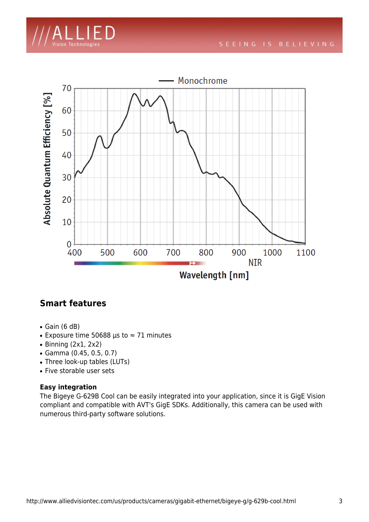



## **Smart features**

- *Gain (6 dB)*
- *Exposure time 50688 µs to ≈ 71 minutes*
- *Binning (2x1, 2x2)*
- *Gamma (0.45, 0.5, 0.7)*
- *Three look-up tables (LUTs)*
- *Five storable user sets*

#### **Easy integration**

*The Bigeye G-629B Cool can be easily integrated into your application, since it is GigE Vision compliant and compatible with AVT's GigE SDKs. Additionally, this camera can be used with numerous third-party software solutions.*